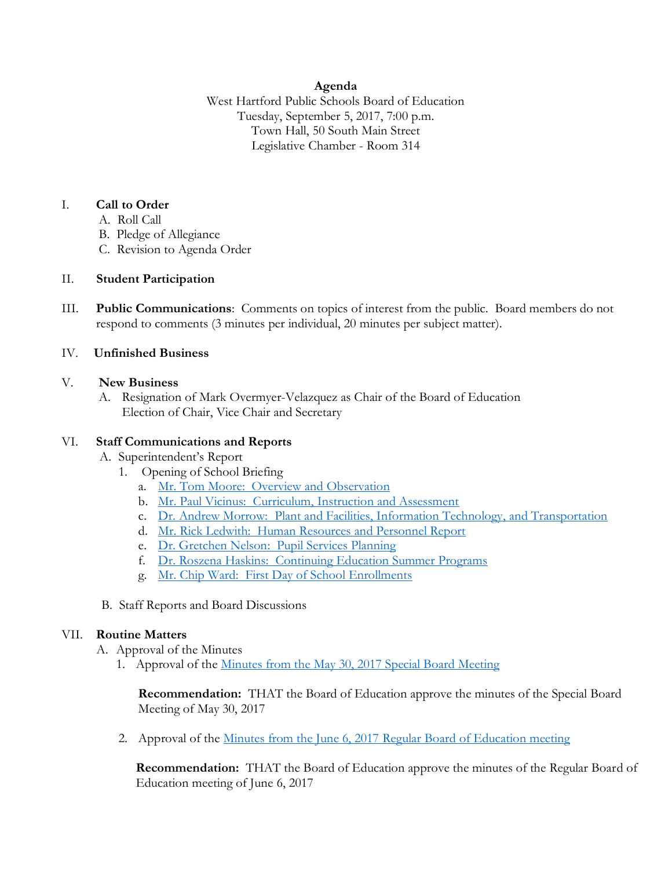### **Agenda**

West Hartford Public Schools Board of Education Tuesday, September 5, 2017, 7:00 p.m. Town Hall, 50 South Main Street Legislative Chamber - Room 314

### I. **Call to Order**

- A. Roll Call
- B. Pledge of Allegiance
- C. Revision to Agenda Order

### II. **Student Participation**

III. **Public Communications**: Comments on topics of interest from the public. Board members do not respond to comments (3 minutes per individual, 20 minutes per subject matter).

# IV. **Unfinished Business**

### V. **New Business**

A. Resignation of Mark Overmyer-Velazquez as Chair of the Board of Education Election of Chair, Vice Chair and Secretary

### VI. **Staff Communications and Reports**

- A. Superintendent's Report
	- 1. Opening of School Briefing
		- a. [Mr. Tom Moore: Overview and Observation](http://www.whps.org/uploaded/BOE/BOE_Documents/20170905/Tom_Moore_overview_Board_meet_1_2017.pdf?1504207328946)
		- b. [Mr. Paul Vicinus: Curriculum, Instruction and Assessment](http://www.whps.org/uploaded/BOE/BOE_Documents/20170905/Curriculum,_Instruction,_and_Assessment.pdf?1504207307298)
		- c. [Dr. Andrew Morrow: Plant and Facilities, Information Technology, and Transportation](http://www.whps.org/uploaded/BOE/BOE_Documents/20170905/2017-18_Opening_of_School_Updates--Andrew_Morrow.pdf?1504207257810)
		- d. [Mr. Rick Ledwith: Human Resources and Personnel Report](http://www.whps.org/uploaded/BOE/BOE_Documents/20170905/Revised_HR_Report_Rick_Ledwith.pdf?1504209551219)
		- e. [Dr. Gretchen Nelson: Pupil Services Planning](http://www.whps.org/uploaded/BOE/BOE_Documents/20170905/Pupil_Services_Report.pdf?1504207235632)
		- f. [Dr. Roszena Haskins: Continuing Education Summer Programs](http://www.whps.org/uploaded/BOE/BOE_Documents/20170905/Summer_Programs_Summary_2017_final.pdf?1504207207249)
		- g. [Mr. Chip Ward: First Day of School Enrollments](http://www.whps.org/uploaded/BOE/BOE_Documents/20170905/Opening_of_school_Aug_30,_2017.pdf?1504207155642)
- B. Staff Reports and Board Discussions

### VII. **Routine Matters**

- A. Approval of the Minutes
	- 1. Approval of the [Minutes from the May 30, 2017 Special Board Meeting](http://www.whps.org/uploaded/BOE/BOE_Documents/20170905/Special_Board_Meeting_Minutes_30_MAY_2017.pdf?1504207189658)

**Recommendation:** THAT the Board of Education approve the minutes of the Special Board Meeting of May 30, 2017

2. Approval of the Minutes from the June 6, 2017 [Regular Board of Education meeting](http://www.whps.org/uploaded/BOE/BOE_Documents/20170905/unofficial_minutes_for_June_6,_2017.pdf?1504207126682)

**Recommendation:** THAT the Board of Education approve the minutes of the Regular Board of Education meeting of June 6, 2017